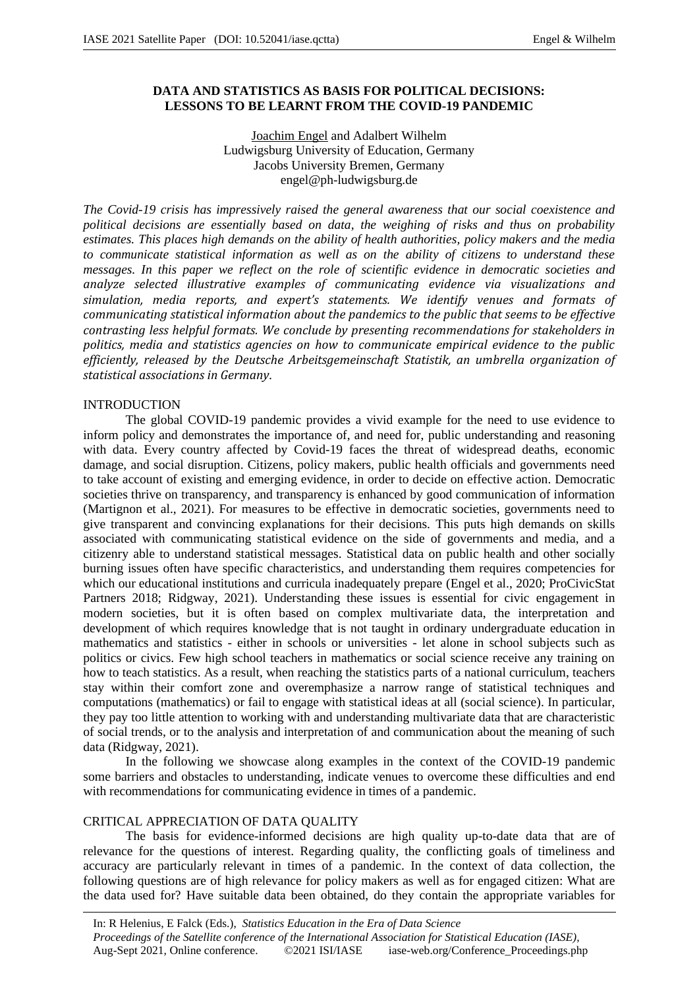# **DATA AND STATISTICS AS BASIS FOR POLITICAL DECISIONS: LESSONS TO BE LEARNT FROM THE COVID-19 PANDEMIC**

Joachim Engel and Adalbert Wilhelm Ludwigsburg University of Education, Germany Jacobs University Bremen, Germany engel@ph-ludwigsburg.de

*The Covid-19 crisis has impressively raised the general awareness that our social coexistence and political decisions are essentially based on data, the weighing of risks and thus on probability estimates. This places high demands on the ability of health authorities, policy makers and the media to communicate statistical information as well as on the ability of citizens to understand these messages. In this paper we reflect on the role of scientific evidence in democratic societies and analyze selected illustrative examples of communicating evidence via visualizations and simulation, media reports, and expert's statements. We identify venues and formats of communicating statistical information about the pandemics to the public that seems to be effective contrasting less helpful formats. We conclude by presenting recommendations for stakeholders in politics, media and statistics agencies on how to communicate empirical evidence to the public efficiently, released by the Deutsche Arbeitsgemeinschaft Statistik, an umbrella organization of statistical associations in Germany.*

### INTRODUCTION

The global COVID-19 pandemic provides a vivid example for the need to use evidence to inform policy and demonstrates the importance of, and need for, public understanding and reasoning with data. Every country affected by Covid-19 faces the threat of widespread deaths, economic damage, and social disruption. Citizens, policy makers, public health officials and governments need to take account of existing and emerging evidence, in order to decide on effective action. Democratic societies thrive on transparency, and transparency is enhanced by good communication of information (Martignon et al., 2021). For measures to be effective in democratic societies, governments need to give transparent and convincing explanations for their decisions. This puts high demands on skills associated with communicating statistical evidence on the side of governments and media, and a citizenry able to understand statistical messages. Statistical data on public health and other socially burning issues often have specific characteristics, and understanding them requires competencies for which our educational institutions and curricula inadequately prepare (Engel et al., 2020; ProCivicStat Partners 2018; Ridgway, 2021). Understanding these issues is essential for civic engagement in modern societies, but it is often based on complex multivariate data, the interpretation and development of which requires knowledge that is not taught in ordinary undergraduate education in mathematics and statistics - either in schools or universities - let alone in school subjects such as politics or civics. Few high school teachers in mathematics or social science receive any training on how to teach statistics. As a result, when reaching the statistics parts of a national curriculum, teachers stay within their comfort zone and overemphasize a narrow range of statistical techniques and computations (mathematics) or fail to engage with statistical ideas at all (social science). In particular, they pay too little attention to working with and understanding multivariate data that are characteristic of social trends, or to the analysis and interpretation of and communication about the meaning of such data (Ridgway, 2021).

In the following we showcase along examples in the context of the COVID-19 pandemic some barriers and obstacles to understanding, indicate venues to overcome these difficulties and end with recommendations for communicating evidence in times of a pandemic.

# CRITICAL APPRECIATION OF DATA QUALITY

The basis for evidence-informed decisions are high quality up-to-date data that are of relevance for the questions of interest. Regarding quality, the conflicting goals of timeliness and accuracy are particularly relevant in times of a pandemic. In the context of data collection, the following questions are of high relevance for policy makers as well as for engaged citizen: What are the data used for? Have suitable data been obtained, do they contain the appropriate variables for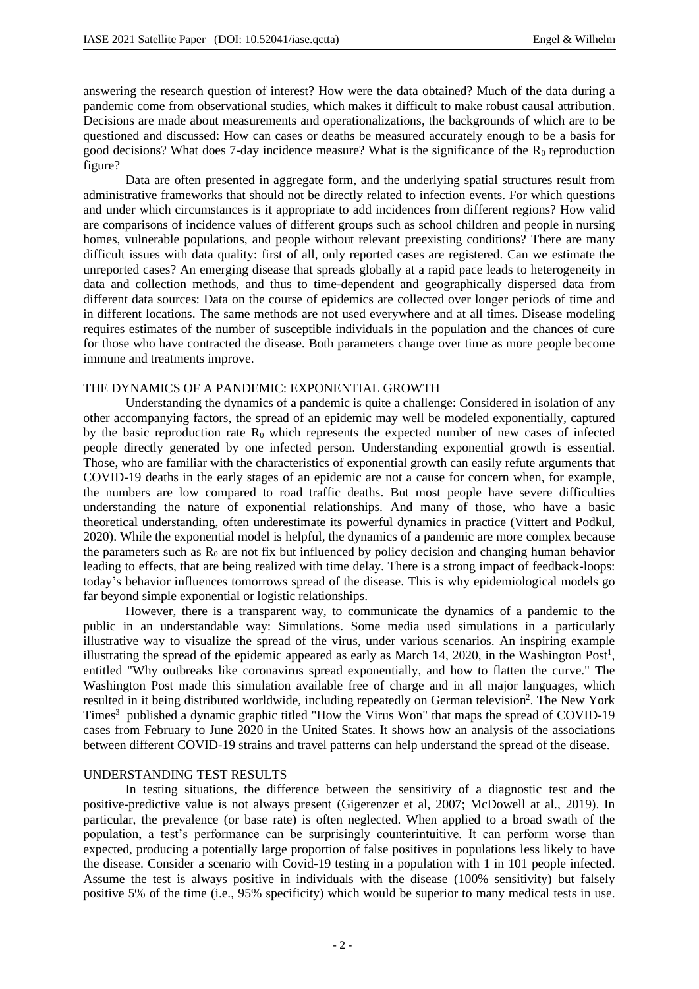answering the research question of interest? How were the data obtained? Much of the data during a pandemic come from observational studies, which makes it difficult to make robust causal attribution. Decisions are made about measurements and operationalizations, the backgrounds of which are to be questioned and discussed: How can cases or deaths be measured accurately enough to be a basis for good decisions? What does 7-day incidence measure? What is the significance of the  $R_0$  reproduction figure?

Data are often presented in aggregate form, and the underlying spatial structures result from administrative frameworks that should not be directly related to infection events. For which questions and under which circumstances is it appropriate to add incidences from different regions? How valid are comparisons of incidence values of different groups such as school children and people in nursing homes, vulnerable populations, and people without relevant preexisting conditions? There are many difficult issues with data quality: first of all, only reported cases are registered. Can we estimate the unreported cases? An emerging disease that spreads globally at a rapid pace leads to heterogeneity in data and collection methods, and thus to time-dependent and geographically dispersed data from different data sources: Data on the course of epidemics are collected over longer periods of time and in different locations. The same methods are not used everywhere and at all times. Disease modeling requires estimates of the number of susceptible individuals in the population and the chances of cure for those who have contracted the disease. Both parameters change over time as more people become immune and treatments improve.

### THE DYNAMICS OF A PANDEMIC: EXPONENTIAL GROWTH

Understanding the dynamics of a pandemic is quite a challenge: Considered in isolation of any other accompanying factors, the spread of an epidemic may well be modeled exponentially, captured by the basic reproduction rate  $R_0$  which represents the expected number of new cases of infected people directly generated by one infected person. Understanding exponential growth is essential. Those, who are familiar with the characteristics of exponential growth can easily refute arguments that COVID-19 deaths in the early stages of an epidemic are not a cause for concern when, for example, the numbers are low compared to road traffic deaths. But most people have severe difficulties understanding the nature of exponential relationships. And many of those, who have a basic theoretical understanding, often underestimate its powerful dynamics in practice (Vittert and Podkul, 2020). While the exponential model is helpful, the dynamics of a pandemic are more complex because the parameters such as  $R_0$  are not fix but influenced by policy decision and changing human behavior leading to effects, that are being realized with time delay. There is a strong impact of feedback-loops: today's behavior influences tomorrows spread of the disease. This is why epidemiological models go far beyond simple exponential or logistic relationships.

However, there is a transparent way, to communicate the dynamics of a pandemic to the public in an understandable way: Simulations. Some media used simulations in a particularly illustrative way to visualize the spread of the virus, under various scenarios. An inspiring example illustrating the spread of the epidemic appeared as early as March 14, 2020, in the Washington Post<sup>1</sup>, entitled "Why outbreaks like coronavirus spread exponentially, and how to flatten the curve." The Washington Post made this simulation available free of charge and in all major languages, which resulted in it being distributed worldwide, including repeatedly on German television<sup>2</sup>. The New York Times<sup>3</sup> published a dynamic graphic titled "How the Virus Won" that maps the spread of COVID-19 cases from February to June 2020 in the United States. It shows how an analysis of the associations between different COVID-19 strains and travel patterns can help understand the spread of the disease.

#### UNDERSTANDING TEST RESULTS

In testing situations, the difference between the sensitivity of a diagnostic test and the positive-predictive value is not always present (Gigerenzer et al, 2007; McDowell at al., 2019). In particular, the prevalence (or base rate) is often neglected. When applied to a broad swath of the population, a test's performance can be surprisingly counterintuitive. It can perform worse than expected, producing a potentially large proportion of false positives in populations less likely to have the disease. Consider a scenario with Covid-19 testing in a population with 1 in 101 people infected. Assume the test is always positive in individuals with the disease (100% sensitivity) but falsely positive 5% of the time (i.e., 95% specificity) which would be superior to many medical tests in use.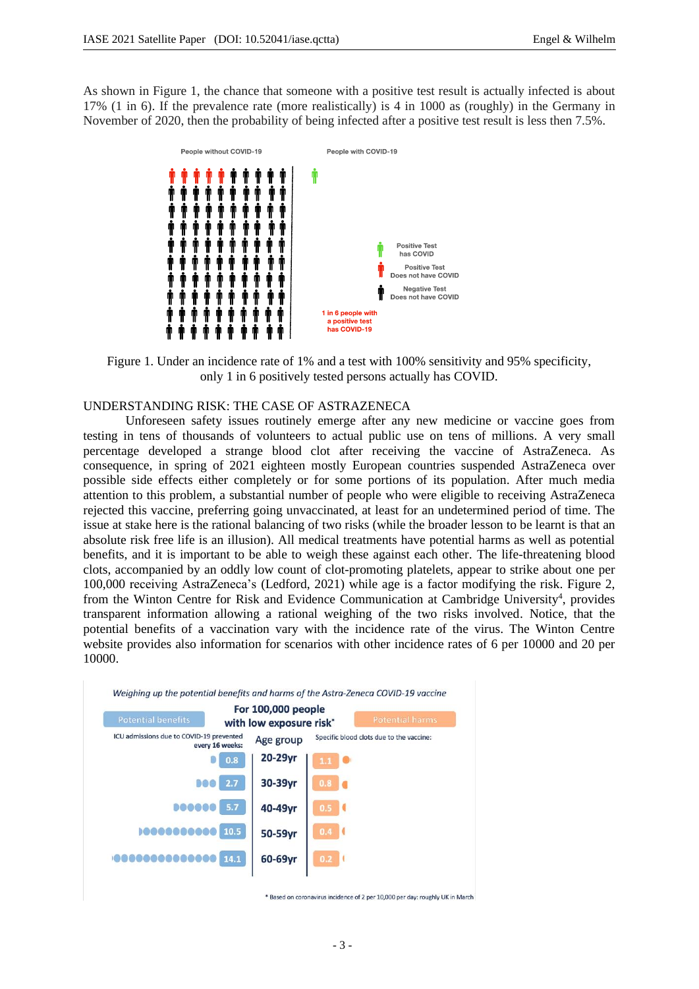As shown in Figure 1, the chance that someone with a positive test result is actually infected is about 17% (1 in 6). If the prevalence rate (more realistically) is 4 in 1000 as (roughly) in the Germany in November of 2020, then the probability of being infected after a positive test result is less then 7.5%.



Figure 1. Under an incidence rate of 1% and a test with 100% sensitivity and 95% specificity, only 1 in 6 positively tested persons actually has COVID.

# UNDERSTANDING RISK: THE CASE OF ASTRAZENECA

Unforeseen safety issues routinely emerge after any new medicine or vaccine goes from testing in tens of thousands of volunteers to actual public use on tens of millions. A very small percentage developed a strange blood clot after receiving the vaccine of AstraZeneca. As consequence, in spring of 2021 eighteen mostly European countries suspended AstraZeneca over possible side effects either completely or for some portions of its population. After much media attention to this problem, a substantial number of people who were eligible to receiving AstraZeneca rejected this vaccine, preferring going unvaccinated, at least for an undetermined period of time. The issue at stake here is the rational balancing of two risks (while the broader lesson to be learnt is that an absolute risk free life is an illusion). All medical treatments have potential harms as well as potential benefits, and it is important to be able to weigh these against each other. The life-threatening blood clots, accompanied by an oddly low count of clot-promoting platelets, appear to strike about one per 100,000 receiving AstraZeneca's (Ledford, 2021) while age is a factor modifying the risk. Figure 2, from the Winton Centre for Risk and Evidence Communication at Cambridge University<sup>4</sup>, provides transparent information allowing a rational weighing of the two risks involved. Notice, that the potential benefits of a vaccination vary with the incidence rate of the virus. The Winton Centre website provides also information for scenarios with other incidence rates of 6 per 10000 and 20 per 10000.



\* Based on coronavirus incidence of 2 per 10,000 per day: roughly UK in March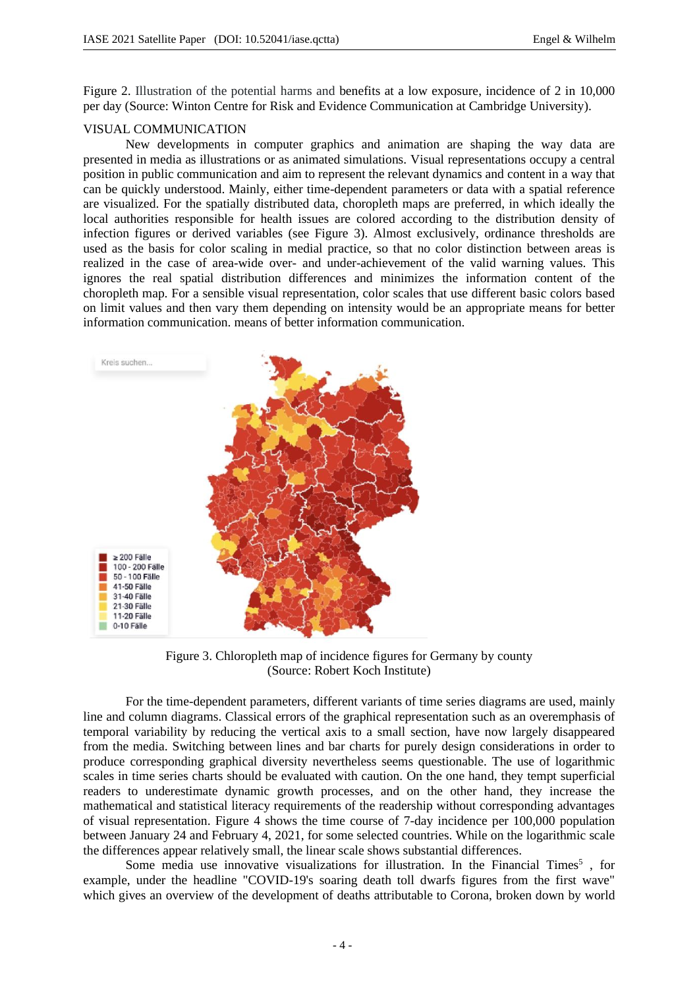Figure 2. Illustration of the potential harms and benefits at a low exposure, incidence of 2 in 10,000 per day (Source: Winton Centre for Risk and Evidence Communication at Cambridge University).

### VISUAL COMMUNICATION

New developments in computer graphics and animation are shaping the way data are presented in media as illustrations or as animated simulations. Visual representations occupy a central position in public communication and aim to represent the relevant dynamics and content in a way that can be quickly understood. Mainly, either time-dependent parameters or data with a spatial reference are visualized. For the spatially distributed data, choropleth maps are preferred, in which ideally the local authorities responsible for health issues are colored according to the distribution density of infection figures or derived variables (see Figure 3). Almost exclusively, ordinance thresholds are used as the basis for color scaling in medial practice, so that no color distinction between areas is realized in the case of area-wide over- and under-achievement of the valid warning values. This ignores the real spatial distribution differences and minimizes the information content of the choropleth map. For a sensible visual representation, color scales that use different basic colors based on limit values and then vary them depending on intensity would be an appropriate means for better information communication. means of better information communication.



Figure 3. Chloropleth map of incidence figures for Germany by county (Source: Robert Koch Institute)

For the time-dependent parameters, different variants of time series diagrams are used, mainly line and column diagrams. Classical errors of the graphical representation such as an overemphasis of temporal variability by reducing the vertical axis to a small section, have now largely disappeared from the media. Switching between lines and bar charts for purely design considerations in order to produce corresponding graphical diversity nevertheless seems questionable. The use of logarithmic scales in time series charts should be evaluated with caution. On the one hand, they tempt superficial readers to underestimate dynamic growth processes, and on the other hand, they increase the mathematical and statistical literacy requirements of the readership without corresponding advantages of visual representation. Figure 4 shows the time course of 7-day incidence per 100,000 population between January 24 and February 4, 2021, for some selected countries. While on the logarithmic scale the differences appear relatively small, the linear scale shows substantial differences.

Some media use innovative visualizations for illustration. In the Financial Times<sup>5</sup>, for example, under the headline "COVID-19's soaring death toll dwarfs figures from the first wave" which gives an overview of the development of deaths attributable to Corona, broken down by world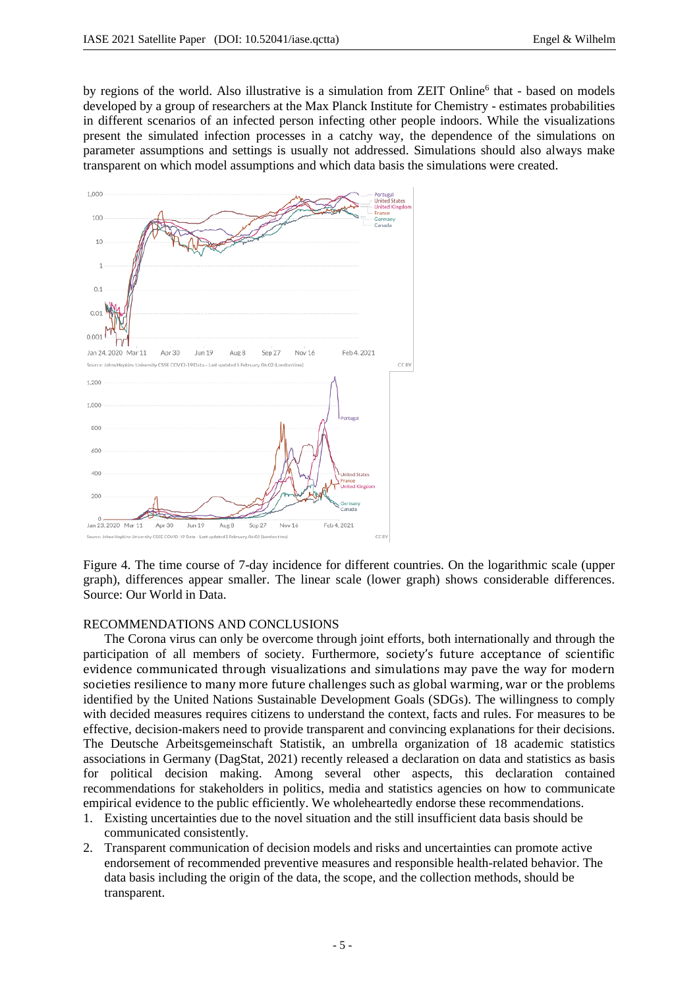by regions of the world. Also illustrative is a simulation from ZEIT Online<sup>6</sup> that - based on models developed by a group of researchers at the Max Planck Institute for Chemistry - estimates probabilities in different scenarios of an infected person infecting other people indoors. While the visualizations present the simulated infection processes in a catchy way, the dependence of the simulations on parameter assumptions and settings is usually not addressed. Simulations should also always make transparent on which model assumptions and which data basis the simulations were created.



Figure 4. The time course of 7-day incidence for different countries. On the logarithmic scale (upper graph), differences appear smaller. The linear scale (lower graph) shows considerable differences. Source: Our World in Data.

### RECOMMENDATIONS AND CONCLUSIONS

The Corona virus can only be overcome through joint efforts, both internationally and through the participation of all members of society. Furthermore, society's future acceptance of scientific evidence communicated through visualizations and simulations may pave the way for modern societies resilience to many more future challenges such as global warming, war or the problems identified by the United Nations Sustainable Development Goals (SDGs). The willingness to comply with decided measures requires citizens to understand the context, facts and rules. For measures to be effective, decision-makers need to provide transparent and convincing explanations for their decisions. The Deutsche Arbeitsgemeinschaft Statistik, an umbrella organization of 18 academic statistics associations in Germany (DagStat, 2021) recently released a declaration on data and statistics as basis for political decision making. Among several other aspects, this declaration contained recommendations for stakeholders in politics, media and statistics agencies on how to communicate empirical evidence to the public efficiently. We wholeheartedly endorse these recommendations.

- 1. Existing uncertainties due to the novel situation and the still insufficient data basis should be communicated consistently.
- 2. Transparent communication of decision models and risks and uncertainties can promote active endorsement of recommended preventive measures and responsible health-related behavior. The data basis including the origin of the data, the scope, and the collection methods, should be transparent.